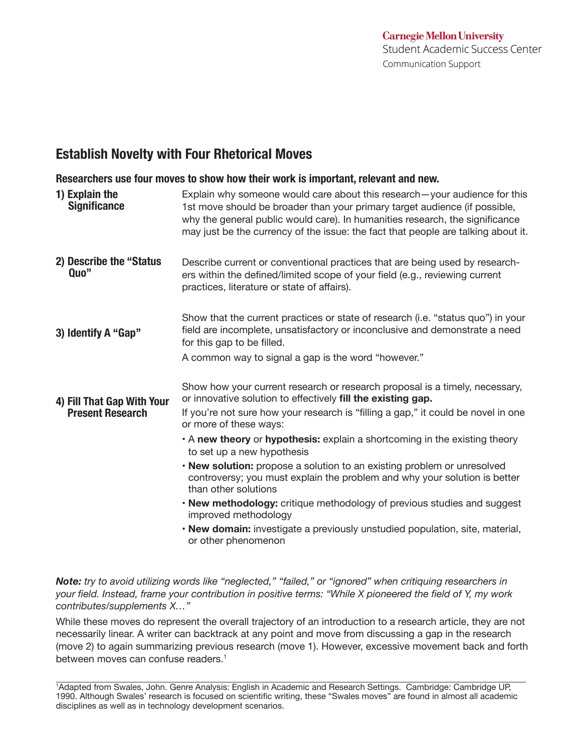## **Establish Novelty with Four Rhetorical Moves**

**Researchers use four moves to show how their work is important, relevant and new.**

| 1) Explain the<br><b>Significance</b> | Explain why someone would care about this research-your audience for this<br>1st move should be broader than your primary target audience (if possible,<br>why the general public would care). In humanities research, the significance<br>may just be the currency of the issue: the fact that people are talking about it. |
|---------------------------------------|------------------------------------------------------------------------------------------------------------------------------------------------------------------------------------------------------------------------------------------------------------------------------------------------------------------------------|
| 2) Describe the "Status<br>Quo"       | Describe current or conventional practices that are being used by research-<br>ers within the defined/limited scope of your field (e.g., reviewing current<br>practices, literature or state of affairs).                                                                                                                    |
| 3) Identify A "Gap"                   | Show that the current practices or state of research (i.e. "status quo") in your<br>field are incomplete, unsatisfactory or inconclusive and demonstrate a need<br>for this gap to be filled.<br>A common way to signal a gap is the word "however."                                                                         |
|                                       |                                                                                                                                                                                                                                                                                                                              |
| 4) Fill That Gap With Your            | Show how your current research or research proposal is a timely, necessary,<br>or innovative solution to effectively fill the existing gap.                                                                                                                                                                                  |
| <b>Present Research</b>               | If you're not sure how your research is "filling a gap," it could be novel in one<br>or more of these ways:                                                                                                                                                                                                                  |
|                                       | A new theory or hypothesis: explain a shortcoming in the existing theory<br>to set up a new hypothesis                                                                                                                                                                                                                       |
|                                       | • New solution: propose a solution to an existing problem or unresolved<br>controversy; you must explain the problem and why your solution is better<br>than other solutions                                                                                                                                                 |
|                                       | . New methodology: critique methodology of previous studies and suggest<br>improved methodology                                                                                                                                                                                                                              |
|                                       | . New domain: investigate a previously unstudied population, site, material,<br>or other phenomenon                                                                                                                                                                                                                          |

*Note: try to avoid utilizing words like "neglected," "failed," or "ignored" when critiquing researchers in your feld. Instead, frame your contribution in positive terms: "While X pioneered the feld of Y, my work contributes/supplements X…"*

While these moves do represent the overall trajectory of an introduction to a research article, they are not necessarily linear. A writer can backtrack at any point and move from discussing a gap in the research (move 2) to again summarizing previous research (move 1). However, excessive movement back and forth between moves can confuse readers.<sup>1</sup>

1 Adapted from Swales, John. Genre Analysis: English in Academic and Research Settings. Cambridge: Cambridge UP, 1990. Although Swales' research is focused on scientific writing, these "Swales moves" are found in almost all academic disciplines as well as in technology development scenarios.